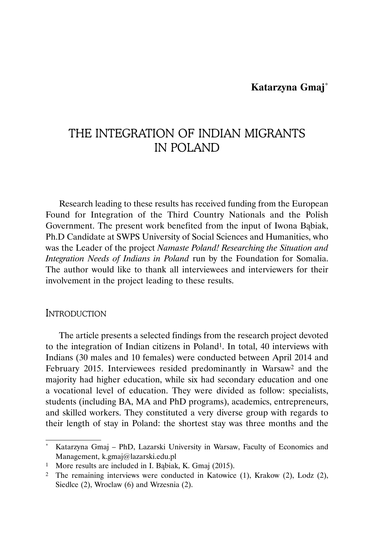# **Katarzyna Gmaj**\*

# THE INTEGRATION OF INDIAN MIGRANTS IN POLAND

Research leading to these results has received funding from the European Found for Integration of the Third Country Nationals and the Polish Government. The present work benefited from the input of Iwona Bąbiak, Ph.D Candidate at SWPS University of Social Sciences and Humanities, who was the Leader of the project *Namaste Poland! Researching the Situation and Integration Needs of Indians in Poland* run by the Foundation for Somalia. The author would like to thank all interviewees and interviewers for their involvement in the project leading to these results.

# **INTRODUCTION**

The article presents a selected findings from the research project devoted to the integration of Indian citizens in Poland1. In total, 40 interviews with Indians (30 males and 10 females) were conducted between April 2014 and February 2015. Interviewees resided predominantly in Warsaw2 and the majority had higher education, while six had secondary education and one a vocational level of education. They were divided as follow: specialists, students (including BA, MA and PhD programs), academics, entrepreneurs, and skilled workers. They constituted a very diverse group with regards to their length of stay in Poland: the shortest stay was three months and the

Katarzyna Gmaj – PhD, Lazarski University in Warsaw, Faculty of Economics and Management, k.gmaj@lazarski.edu.pl

<sup>1</sup> More results are included in I. Bąbiak, K. Gmaj (2015).

<sup>2</sup> The remaining interviews were conducted in Katowice (1), Krakow (2), Lodz (2), Siedlce  $(2)$ , Wroclaw  $(6)$  and Wrzesnia  $(2)$ .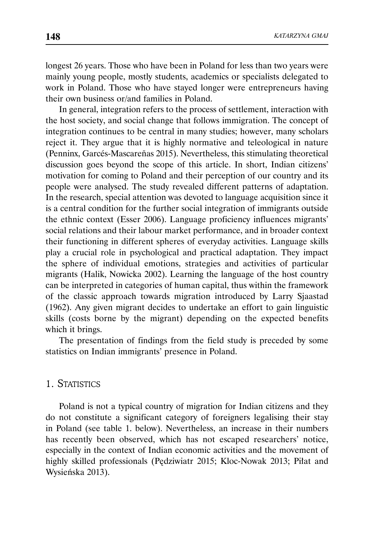longest 26 years. Those who have been in Poland for less than two years were mainly young people, mostly students, academics or specialists delegated to work in Poland. Those who have stayed longer were entrepreneurs having their own business or/and families in Poland.

In general, integration refers to the process of settlement, interaction with the host society, and social change that follows immigration. The concept of integration continues to be central in many studies; however, many scholars reject it. They argue that it is highly normative and teleological in nature (Penninx, Garcés-Mascareñas 2015). Nevertheless, this stimulating theoretical discussion goes beyond the scope of this article. In short, Indian citizens' motivation for coming to Poland and their perception of our country and its people were analysed. The study revealed different patterns of adaptation. In the research, special attention was devoted to language acquisition since it is a central condition for the further social integration of immigrants outside the ethnic context (Esser 2006). Language proficiency influences migrants' social relations and their labour market performance, and in broader context their functioning in different spheres of everyday activities. Language skills play a crucial role in psychological and practical adaptation. They impact the sphere of individual emotions, strategies and activities of particular migrants (Halik, Nowicka 2002). Learning the language of the host country can be interpreted in categories of human capital, thus within the framework of the classic approach towards migration introduced by Larry Sjaastad (1962). Any given migrant decides to undertake an effort to gain linguistic skills (costs borne by the migrant) depending on the expected benefits which it brings.

The presentation of findings from the field study is preceded by some statistics on Indian immigrants' presence in Poland.

# 1. STATISTICS

Poland is not a typical country of migration for Indian citizens and they do not constitute a significant category of foreigners legalising their stay in Poland (see table 1. below). Nevertheless, an increase in their numbers has recently been observed, which has not escaped researchers' notice, especially in the context of Indian economic activities and the movement of highly skilled professionals (Pędziwiatr 2015; Kloc-Nowak 2013; Piłat and Wysieńska 2013).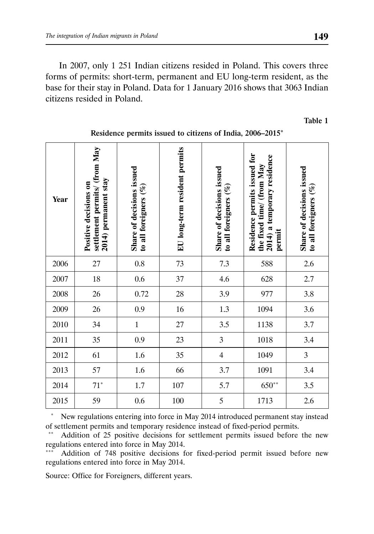In 2007, only 1 251 Indian citizens resided in Poland. This covers three forms of permits: short-term, permanent and EU long-term resident, as the base for their stay in Poland. Data for 1 January 2016 shows that 3063 Indian citizens resided in Poland.

Table 1

| Year | settlement permits/ (from May<br>2014) permanent stay<br>Positive decisions on | Share of decisions issued<br>to all foreigners (%) | EU long-term resident permits | Share of decisions issued<br>to all foreigners $(\%)$ | Residence permits issued for<br>2014) a temporary residence<br>the fixed time/ (from May<br>permit | Share of decisions issued<br>to all foreigners $(%$ |
|------|--------------------------------------------------------------------------------|----------------------------------------------------|-------------------------------|-------------------------------------------------------|----------------------------------------------------------------------------------------------------|-----------------------------------------------------|
| 2006 | 27                                                                             | $0.8\,$                                            | 73                            | 7.3                                                   | 588                                                                                                | 2.6                                                 |
| 2007 | 18                                                                             | $0.6\,$                                            | 37                            | 4.6                                                   | 628                                                                                                | 2.7                                                 |
| 2008 | 26                                                                             | 0.72                                               | 28                            | 3.9                                                   | 977                                                                                                | 3.8                                                 |
| 2009 | 26                                                                             | 0.9                                                | 16                            | 1.3                                                   | 1094                                                                                               | 3.6                                                 |
| 2010 | 34                                                                             | $\,1$                                              | 27                            | 3.5                                                   | 1138                                                                                               | 3.7                                                 |
| 2011 | 35                                                                             | 0.9                                                | 23                            | 3                                                     | 1018                                                                                               | 3.4                                                 |
| 2012 | 61                                                                             | 1.6                                                | 35                            | $\overline{4}$                                        | 1049                                                                                               | $\mathfrak{Z}$                                      |
| 2013 | 57                                                                             | 1.6                                                | 66                            | 3.7                                                   | 1091                                                                                               | 3.4                                                 |
| 2014 | $71^{\circ}$                                                                   | $1.7\,$                                            | 107                           | 5.7                                                   | $650**$                                                                                            | 3.5                                                 |
| 2015 | 59                                                                             | $0.6\,$                                            | 100                           | 5                                                     | 1713                                                                                               | 2.6                                                 |

### Residence permits issued to citizens of India, 2006–2015\*

 \* New regulations entering into force in May 2014 introduced permanent stay instead of settlement permits and temporary residence instead of fixed-period permits.

Addition of 25 positive decisions for settlement permits issued before the new regulations entered into force in May 2014.

Addition of 748 positive decisions for fixed-period permit issued before new regulations entered into force in May 2014.

Source: Office for Foreigners, different years.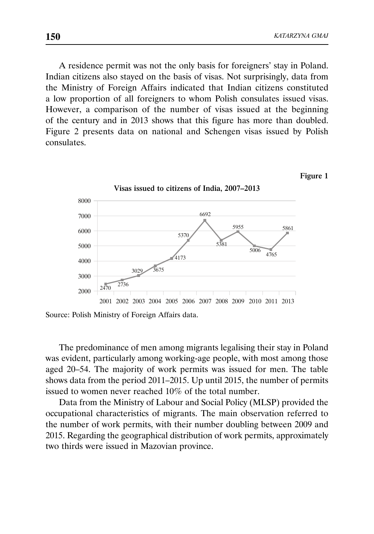A residence permit was not the only basis for foreigners' stay in Poland. Indian citizens also stayed on the basis of visas. Not surprisingly, data from the Ministry of Foreign Affairs indicated that Indian citizens constituted a low proportion of all foreigners to whom Polish consulates issued visas. However, a comparison of the number of visas issued at the beginning of the century and in 2013 shows that this figure has more than doubled. Figure 2 presents data on national and Schengen visas issued by Polish consulates.

#### Figure 1



Source: Polish Ministry of Foreign Affairs data.

The predominance of men among migrants legalising their stay in Poland was evident, particularly among working-age people, with most among those aged 20–54. The majority of work permits was issued for men. The table shows data from the period 2011–2015. Up until 2015, the number of permits issued to women never reached 10% of the total number.

Data from the Ministry of Labour and Social Policy (MLSP) provided the occupational characteristics of migrants. The main observation referred to the number of work permits, with their number doubling between 2009 and 2015. Regarding the geographical distribution of work permits, approximately two thirds were issued in Mazovian province.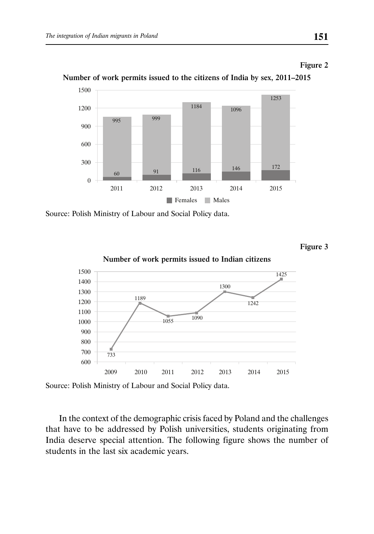#### Figure 2



Number of work permits issued to the citizens of India by sex, 2011–2015

Source: Polish Ministry of Labour and Social Policy data.

Figure 3



Number of work permits issued to Indian citizens

Source: Polish Ministry of Labour and Social Policy data.

In the context of the demographic crisis faced by Poland and the challenges that have to be addressed by Polish universities, students originating from India deserve special attention. The following figure shows the number of students in the last six academic years.

2011 2012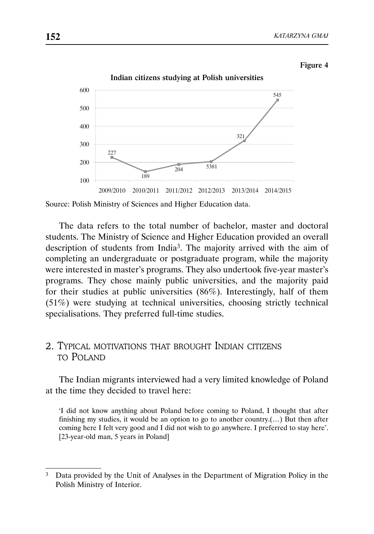#### Figure 4



Indian citizens studying at Polish universities

The data refers to the total number of bachelor, master and doctoral students. The Ministry of Science and Higher Education provided an overall description of students from India3. The majority arrived with the aim of completing an undergraduate or postgraduate program, while the majority were interested in master's programs. They also undertook five-year master's programs. They chose mainly public universities, and the majority paid for their studies at public universities (86%). Interestingly, half of them (51%) were studying at technical universities, choosing strictly technical specialisations. They preferred full-time studies.

# 2. TYPICAL MOTIVATIONS THAT BROUGHT INDIAN CITIZENS TO POLAND

The Indian migrants interviewed had a very limited knowledge of Poland at the time they decided to travel here:

'I did not know anything about Poland before coming to Poland, I thought that after finishing my studies, it would be an option to go to another country.(...) But then after coming here I felt very good and I did not wish to go anywhere. I preferred to stay here'. [23-year-old man, 5 years in Poland]

Source: Polish Ministry of Sciences and Higher Education data.

<sup>&</sup>lt;sup>3</sup> Data provided by the Unit of Analyses in the Department of Migration Policy in the Polish Ministry of Interior.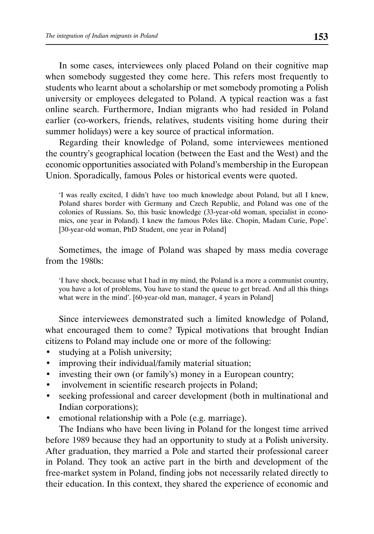In some cases, interviewees only placed Poland on their cognitive map when somebody suggested they come here. This refers most frequently to students who learnt about a scholarship or met somebody promoting a Polish university or employees delegated to Poland. A typical reaction was a fast online search. Furthermore, Indian migrants who had resided in Poland earlier (co-workers, friends, relatives, students visiting home during their summer holidays) were a key source of practical information.

Regarding their knowledge of Poland, some interviewees mentioned the country's geographical location (between the East and the West) and the economic opportunities associated with Poland's membership in the European Union. Sporadically, famous Poles or historical events were quoted.

'I was really excited, I didn't have too much knowledge about Poland, but all I knew, Poland shares border with Germany and Czech Republic, and Poland was one of the colonies of Russians. So, this basic knowledge (33-year-old woman, specialist in economics, one year in Poland). I knew the famous Poles like. Chopin, Madam Curie, Pope'. [30-year-old woman, PhD Student, one year in Poland]

Sometimes, the image of Poland was shaped by mass media coverage from the 1980s:

'I have shock, because what I had in my mind, the Poland is a more a communist country, you have a lot of problems, You have to stand the queue to get bread. And all this things what were in the mind'. [60-year-old man, manager, 4 years in Poland]

Since interviewees demonstrated such a limited knowledge of Poland, what encouraged them to come? Typical motivations that brought Indian citizens to Poland may include one or more of the following:

- studying at a Polish university;
- improving their individual/family material situation;
- investing their own (or family's) money in a European country;
- involvement in scientific research projects in Poland;
- seeking professional and career development (both in multinational and Indian corporations);
- emotional relationship with a Pole (e.g. marriage).

The Indians who have been living in Poland for the longest time arrived before 1989 because they had an opportunity to study at a Polish university. After graduation, they married a Pole and started their professional career in Poland. They took an active part in the birth and development of the free-market system in Poland, finding jobs not necessarily related directly to their education. In this context, they shared the experience of economic and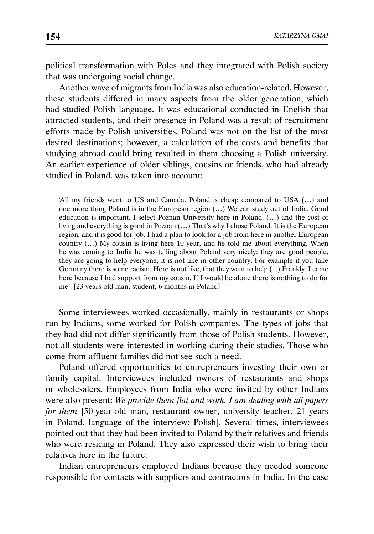political transformation with Poles and they integrated with Polish society that was undergoing social change.

Another wave of migrants from India was also education-related. However, these students differed in many aspects from the older generation, which had studied Polish language. It was educational conducted in English that attracted students, and their presence in Poland was a result of recruitment efforts made by Polish universities. Poland was not on the list of the most desired destinations; however, a calculation of the costs and benefits that studying abroad could bring resulted in them choosing a Polish university. An earlier experience of older siblings, cousins or friends, who had already studied in Poland, was taken into account:

'All my friends went to US and Canada. Poland is cheap compared to USA (…) and one more thing Poland is in the European region (…) We can study out of India. Good education is important. I select Poznan University here in Poland. (…) and the cost of living and everything is good in Poznan (…) That's why I chose Poland. It is the European region, and it is good for job. I had a plan to look for a job from here in another European country (…) My cousin is living here 10 year, and he told me about everything. When he was coming to India he was telling about Poland very nicely: they are good people, they are going to help everyone, it is not like in other country, For example if you take Germany there is some racism. Here is not like, that they want to help (...) Frankly, I came here because I had support from my cousin. If I would be alone there is nothing to do for me'. [23-years-old man, student, 6 months in Poland]

Some interviewees worked occasionally, mainly in restaurants or shops run by Indians, some worked for Polish companies. The types of jobs that they had did not differ significantly from those of Polish students. However, not all students were interested in working during their studies. Those who come from affluent families did not see such a need.

Poland offered opportunities to entrepreneurs investing their own or family capital. Interviewees included owners of restaurants and shops or wholesalers. Employees from India who were invited by other Indians were also present: *We provide them flat and work. I am dealing with all papers for them* [50-year-old man, restaurant owner, university teacher, 21 years in Poland, language of the interview: Polish]. Several times, interviewees pointed out that they had been invited to Poland by their relatives and friends who were residing in Poland. They also expressed their wish to bring their relatives here in the future.

Indian entrepreneurs employed Indians because they needed someone responsible for contacts with suppliers and contractors in India. In the case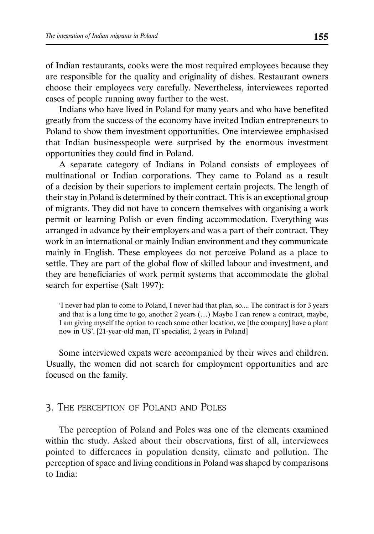of Indian restaurants, cooks were the most required employees because they are responsible for the quality and originality of dishes. Restaurant owners choose their employees very carefully. Nevertheless, interviewees reported cases of people running away further to the west.

Indians who have lived in Poland for many years and who have benefited greatly from the success of the economy have invited Indian entrepreneurs to Poland to show them investment opportunities. One interviewee emphasised that Indian businesspeople were surprised by the enormous investment opportunities they could find in Poland.

A separate category of Indians in Poland consists of employees of multinational or Indian corporations. They came to Poland as a result of a decision by their superiors to implement certain projects. The length of their stay in Poland is determined by their contract. This is an exceptional group of migrants. They did not have to concern themselves with organising a work permit or learning Polish or even finding accommodation. Everything was arranged in advance by their employers and was a part of their contract. They work in an international or mainly Indian environment and they communicate mainly in English. These employees do not perceive Poland as a place to settle. They are part of the global flow of skilled labour and investment, and they are beneficiaries of work permit systems that accommodate the global search for expertise (Salt 1997):

'I never had plan to come to Poland, I never had that plan, so.... The contract is for 3 years and that is a long time to go, another 2 years (…) Maybe I can renew a contract, maybe, I am giving myself the option to reach some other location, we [the company] have a plant now in US'. [21-year-old man, IT specialist, 2 years in Poland]

Some interviewed expats were accompanied by their wives and children. Usually, the women did not search for employment opportunities and are focused on the family.

# 3. THE PERCEPTION OF POLAND AND POLES

The perception of Poland and Poles was one of the elements examined within the study. Asked about their observations, first of all, interviewees pointed to differences in population density, climate and pollution. The perception of space and living conditions in Poland was shaped by comparisons to India: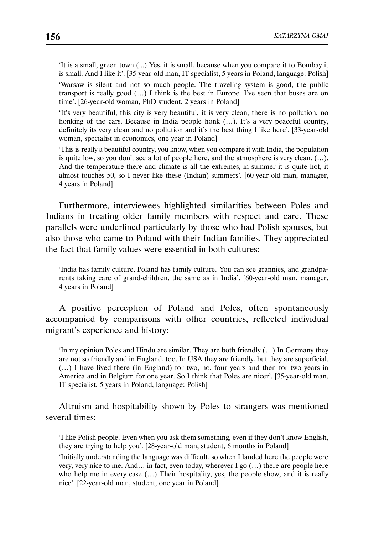'It is a small, green town (...) Yes, it is small, because when you compare it to Bombay it is small. And I like it'. [35-year-old man, IT specialist, 5 years in Poland, language: Polish]

'Warsaw is silent and not so much people. The traveling system is good, the public transport is really good (…) I think is the best in Europe. I've seen that buses are on time'. [26-year-old woman, PhD student, 2 years in Poland]

'It's very beautiful, this city is very beautiful, it is very clean, there is no pollution, no honking of the cars. Because in India people honk (...). It's a very peaceful country, definitely its very clean and no pollution and it's the best thing I like here'. [33-year-old woman, specialist in economics, one year in Poland]

'This is really a beautiful country, you know, when you compare it with India, the population is quite low, so you don't see a lot of people here, and the atmosphere is very clean. (…). And the temperature there and climate is all the extremes, in summer it is quite hot, it almost touches 50, so I never like these (Indian) summers'. [60-year-old man, manager, 4 years in Poland]

Furthermore, interviewees highlighted similarities between Poles and Indians in treating older family members with respect and care. These parallels were underlined particularly by those who had Polish spouses, but also those who came to Poland with their Indian families. They appreciated the fact that family values were essential in both cultures:

'India has family culture, Poland has family culture. You can see grannies, and grandparents taking care of grand-children, the same as in India'. [60-year-old man, manager, 4 years in Poland]

A positive perception of Poland and Poles, often spontaneously accompanied by comparisons with other countries, reflected individual migrant's experience and history:

'In my opinion Poles and Hindu are similar. They are both friendly (…) In Germany they are not so friendly and in England, too. In USA they are friendly, but they are superficial. (…) I have lived there (in England) for two, no, four years and then for two years in America and in Belgium for one year. So I think that Poles are nicer'. [35-year-old man, IT specialist, 5 years in Poland, language: Polish]

Altruism and hospitability shown by Poles to strangers was mentioned several times:

'I like Polish people. Even when you ask them something, even if they don't know English, they are trying to help you'. [28-year-old man, student, 6 months in Poland]

'Initially understanding the language was difficult, so when I landed here the people were very, very nice to me. And… in fact, even today, wherever I go (…) there are people here who help me in every case  $(...)$  Their hospitality, yes, the people show, and it is really nice'. [22-year-old man, student, one year in Poland]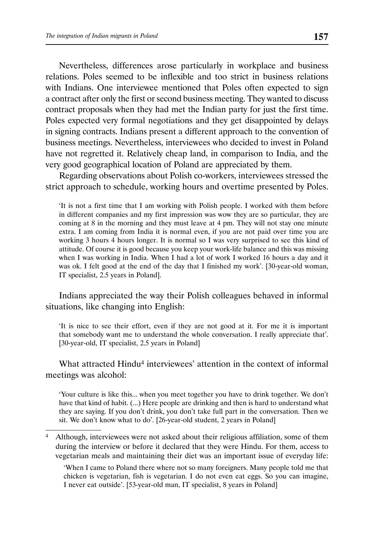Nevertheless, differences arose particularly in workplace and business relations. Poles seemed to be inflexible and too strict in business relations with Indians. One interviewee mentioned that Poles often expected to sign a contract after only the first or second business meeting. They wanted to discuss contract proposals when they had met the Indian party for just the first time. Poles expected very formal negotiations and they get disappointed by delays in signing contracts. Indians present a different approach to the convention of business meetings. Nevertheless, interviewees who decided to invest in Poland have not regretted it. Relatively cheap land, in comparison to India, and the very good geographical location of Poland are appreciated by them.

Regarding observations about Polish co-workers, interviewees stressed the strict approach to schedule, working hours and overtime presented by Poles.

'It is not a first time that I am working with Polish people. I worked with them before in different companies and my first impression was wow they are so particular, they are coming at 8 in the morning and they must leave at 4 pm. They will not stay one minute extra. I am coming from India it is normal even, if you are not paid over time you are working 3 hours 4 hours longer. It is normal so I was very surprised to see this kind of attitude. Of course it is good because you keep your work-life balance and this was missing when I was working in India. When I had a lot of work I worked 16 hours a day and it was ok. I felt good at the end of the day that I finished my work'. [30-year-old woman, IT specialist, 2.5 years in Poland].

Indians appreciated the way their Polish colleagues behaved in informal situations, like changing into English:

'It is nice to see their effort, even if they are not good at it. For me it is important that somebody want me to understand the whole conversation. I really appreciate that'. [30-year-old, IT specialist, 2.5 years in Poland]

What attracted Hindu<sup>4</sup> interviewees' attention in the context of informal meetings was alcohol:

'Your culture is like this... when you meet together you have to drink together. We don't have that kind of habit. (...) Here people are drinking and then is hard to understand what they are saying. If you don't drink, you don't take full part in the conversation. Then we sit. We don't know what to do'. [26-year-old student, 2 years in Poland]

 'When I came to Poland there where not so many foreigners. Many people told me that chicken is vegetarian, fish is vegetarian. I do not even eat eggs. So you can imagine, I never eat outside'. [53-year-old man, IT specialist, 8 years in Poland]

<sup>4</sup> Although, interviewees were not asked about their religious affiliation, some of them during the interview or before it declared that they were Hindu. For them, access to vegetarian meals and maintaining their diet was an important issue of everyday life: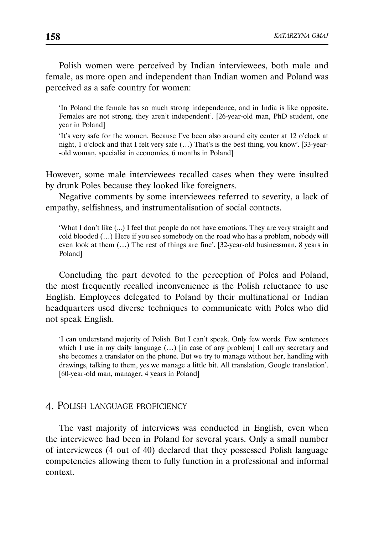Polish women were perceived by Indian interviewees, both male and female, as more open and independent than Indian women and Poland was perceived as a safe country for women:

'In Poland the female has so much strong independence, and in India is like opposite. Females are not strong, they aren't independent'. [26-year-old man, PhD student, one year in Poland]

'It's very safe for the women. Because I've been also around city center at 12 o'clock at night, 1 o'clock and that I felt very safe (…) That's is the best thing, you know'. [33-year- -old woman, specialist in economics, 6 months in Poland]

However, some male interviewees recalled cases when they were insulted by drunk Poles because they looked like foreigners.

Negative comments by some interviewees referred to severity, a lack of empathy, selfishness, and instrumentalisation of social contacts.

'What I don't like (...) I feel that people do not have emotions. They are very straight and cold blooded (…) Here if you see somebody on the road who has a problem, nobody will even look at them (…) The rest of things are fine'. [32-year-old businessman, 8 years in Poland]

Concluding the part devoted to the perception of Poles and Poland, the most frequently recalled inconvenience is the Polish reluctance to use English. Employees delegated to Poland by their multinational or Indian headquarters used diverse techniques to communicate with Poles who did not speak English.

'I can understand majority of Polish. But I can't speak. Only few words. Few sentences which I use in my daily language  $(...)$  [in case of any problem] I call my secretary and she becomes a translator on the phone. But we try to manage without her, handling with drawings, talking to them, yes we manage a little bit. All translation, Google translation'. [60-year-old man, manager, 4 years in Poland]

### 4. POLISH LANGUAGE PROFICIENCY

The vast majority of interviews was conducted in English, even when the interviewee had been in Poland for several years. Only a small number of interviewees (4 out of 40) declared that they possessed Polish language competencies allowing them to fully function in a professional and informal context.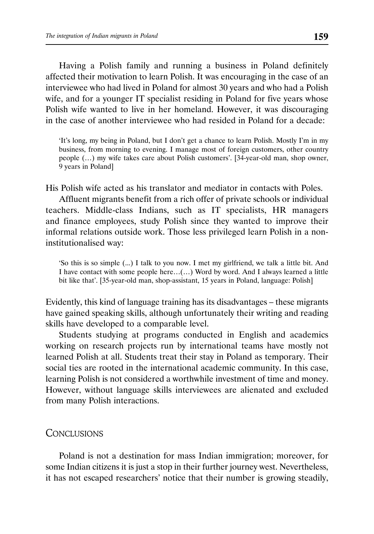Having a Polish family and running a business in Poland definitely affected their motivation to learn Polish. It was encouraging in the case of an interviewee who had lived in Poland for almost 30 years and who had a Polish wife, and for a younger IT specialist residing in Poland for five years whose Polish wife wanted to live in her homeland. However, it was discouraging in the case of another interviewee who had resided in Poland for a decade:

'It's long, my being in Poland, but I don't get a chance to learn Polish. Mostly I'm in my business, from morning to evening. I manage most of foreign customers, other country people (…) my wife takes care about Polish customers'. [34-year-old man, shop owner, 9 years in Poland]

His Polish wife acted as his translator and mediator in contacts with Poles.

Affluent migrants benefit from a rich offer of private schools or individual teachers. Middle-class Indians, such as IT specialists, HR managers and finance employees, study Polish since they wanted to improve their informal relations outside work. Those less privileged learn Polish in a noninstitutionalised way:

'So this is so simple (...) I talk to you now. I met my girlfriend, we talk a little bit. And I have contact with some people here…(…) Word by word. And I always learned a little bit like that'. [35-year-old man, shop-assistant, 15 years in Poland, language: Polish]

Evidently, this kind of language training has its disadvantages – these migrants have gained speaking skills, although unfortunately their writing and reading skills have developed to a comparable level.

Students studying at programs conducted in English and academics working on research projects run by international teams have mostly not learned Polish at all. Students treat their stay in Poland as temporary. Their social ties are rooted in the international academic community. In this case, learning Polish is not considered a worthwhile investment of time and money. However, without language skills interviewees are alienated and excluded from many Polish interactions.

# **CONCLUSIONS**

Poland is not a destination for mass Indian immigration; moreover, for some Indian citizens it is just a stop in their further journey west. Nevertheless, it has not escaped researchers' notice that their number is growing steadily,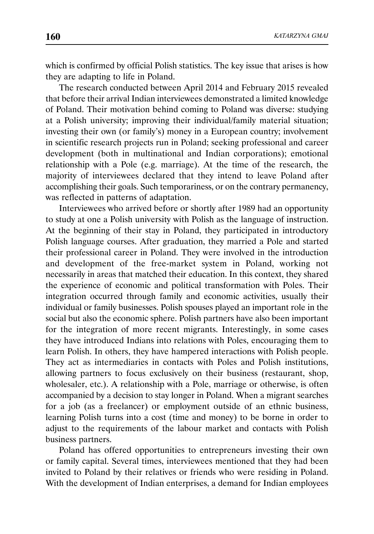which is confirmed by official Polish statistics. The key issue that arises is how they are adapting to life in Poland.

The research conducted between April 2014 and February 2015 revealed that before their arrival Indian interviewees demonstrated a limited knowledge of Poland. Their motivation behind coming to Poland was diverse: studying at a Polish university; improving their individual/family material situation; investing their own (or family's) money in a European country; involvement in scientific research projects run in Poland; seeking professional and career development (both in multinational and Indian corporations); emotional relationship with a Pole (e.g. marriage). At the time of the research, the majority of interviewees declared that they intend to leave Poland after accomplishing their goals. Such temporariness, or on the contrary permanency, was reflected in patterns of adaptation.

Interviewees who arrived before or shortly after 1989 had an opportunity to study at one a Polish university with Polish as the language of instruction. At the beginning of their stay in Poland, they participated in introductory Polish language courses. After graduation, they married a Pole and started their professional career in Poland. They were involved in the introduction and development of the free-market system in Poland, working not necessarily in areas that matched their education. In this context, they shared the experience of economic and political transformation with Poles. Their integration occurred through family and economic activities, usually their individual or family businesses. Polish spouses played an important role in the social but also the economic sphere. Polish partners have also been important for the integration of more recent migrants. Interestingly, in some cases they have introduced Indians into relations with Poles, encouraging them to learn Polish. In others, they have hampered interactions with Polish people. They act as intermediaries in contacts with Poles and Polish institutions, allowing partners to focus exclusively on their business (restaurant, shop, wholesaler, etc.). A relationship with a Pole, marriage or otherwise, is often accompanied by a decision to stay longer in Poland. When a migrant searches for a job (as a freelancer) or employment outside of an ethnic business, learning Polish turns into a cost (time and money) to be borne in order to adjust to the requirements of the labour market and contacts with Polish business partners.

Poland has offered opportunities to entrepreneurs investing their own or family capital. Several times, interviewees mentioned that they had been invited to Poland by their relatives or friends who were residing in Poland. With the development of Indian enterprises, a demand for Indian employees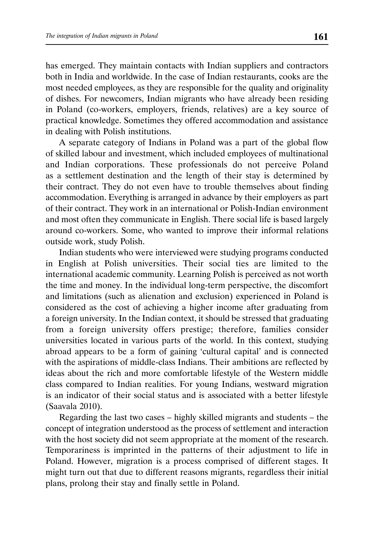has emerged. They maintain contacts with Indian suppliers and contractors both in India and worldwide. In the case of Indian restaurants, cooks are the most needed employees, as they are responsible for the quality and originality of dishes. For newcomers, Indian migrants who have already been residing in Poland (co-workers, employers, friends, relatives) are a key source of practical knowledge. Sometimes they offered accommodation and assistance in dealing with Polish institutions.

A separate category of Indians in Poland was a part of the global flow of skilled labour and investment, which included employees of multinational and Indian corporations. These professionals do not perceive Poland as a settlement destination and the length of their stay is determined by their contract. They do not even have to trouble themselves about finding accommodation. Everything is arranged in advance by their employers as part of their contract. They work in an international or Polish-Indian environment and most often they communicate in English. There social life is based largely around co-workers. Some, who wanted to improve their informal relations outside work, study Polish.

Indian students who were interviewed were studying programs conducted in English at Polish universities. Their social ties are limited to the international academic community. Learning Polish is perceived as not worth the time and money. In the individual long-term perspective, the discomfort and limitations (such as alienation and exclusion) experienced in Poland is considered as the cost of achieving a higher income after graduating from a foreign university. In the Indian context, it should be stressed that graduating from a foreign university offers prestige; therefore, families consider universities located in various parts of the world. In this context, studying abroad appears to be a form of gaining 'cultural capital' and is connected with the aspirations of middle-class Indians. Their ambitions are reflected by ideas about the rich and more comfortable lifestyle of the Western middle class compared to Indian realities. For young Indians, westward migration is an indicator of their social status and is associated with a better lifestyle (Saavala 2010).

Regarding the last two cases – highly skilled migrants and students – the concept of integration understood as the process of settlement and interaction with the host society did not seem appropriate at the moment of the research. Temporariness is imprinted in the patterns of their adjustment to life in Poland. However, migration is a process comprised of different stages. It might turn out that due to different reasons migrants, regardless their initial plans, prolong their stay and finally settle in Poland.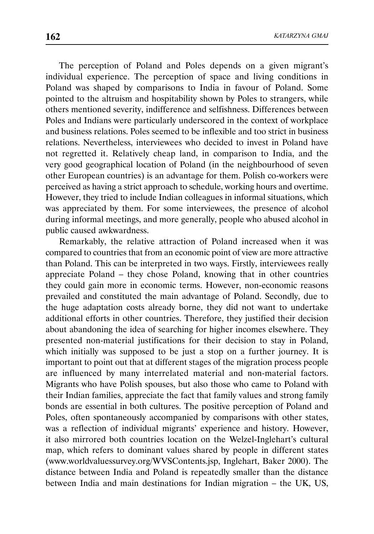The perception of Poland and Poles depends on a given migrant's individual experience. The perception of space and living conditions in Poland was shaped by comparisons to India in favour of Poland. Some pointed to the altruism and hospitability shown by Poles to strangers, while others mentioned severity, indifference and selfishness. Differences between Poles and Indians were particularly underscored in the context of workplace and business relations. Poles seemed to be inflexible and too strict in business relations. Nevertheless, interviewees who decided to invest in Poland have not regretted it. Relatively cheap land, in comparison to India, and the very good geographical location of Poland (in the neighbourhood of seven other European countries) is an advantage for them. Polish co-workers were perceived as having a strict approach to schedule, working hours and overtime. However, they tried to include Indian colleagues in informal situations, which was appreciated by them. For some interviewees, the presence of alcohol during informal meetings, and more generally, people who abused alcohol in public caused awkwardness.

Remarkably, the relative attraction of Poland increased when it was compared to countries that from an economic point of view are more attractive than Poland. This can be interpreted in two ways. Firstly, interviewees really appreciate Poland – they chose Poland, knowing that in other countries they could gain more in economic terms. However, non-economic reasons prevailed and constituted the main advantage of Poland. Secondly, due to the huge adaptation costs already borne, they did not want to undertake additional efforts in other countries. Therefore, they justified their decision about abandoning the idea of searching for higher incomes elsewhere. They presented non-material justifications for their decision to stay in Poland, which initially was supposed to be just a stop on a further journey. It is important to point out that at different stages of the migration process people are influenced by many interrelated material and non-material factors. Migrants who have Polish spouses, but also those who came to Poland with their Indian families, appreciate the fact that family values and strong family bonds are essential in both cultures. The positive perception of Poland and Poles, often spontaneously accompanied by comparisons with other states, was a reflection of individual migrants' experience and history. However, it also mirrored both countries location on the Welzel-Inglehart's cultural map, which refers to dominant values shared by people in different states (www.worldvaluessurvey.org/WVSContents.jsp, Inglehart, Baker 2000). The distance between India and Poland is repeatedly smaller than the distance between India and main destinations for Indian migration – the UK, US,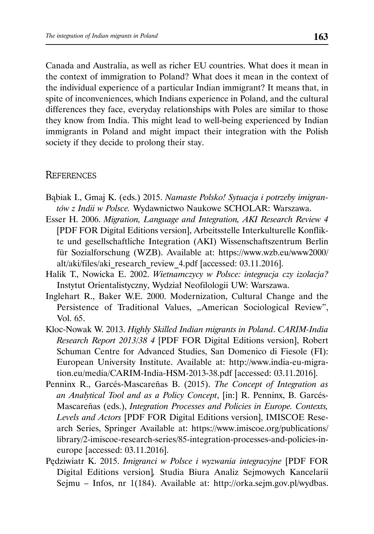Canada and Australia, as well as richer EU countries. What does it mean in the context of immigration to Poland? What does it mean in the context of the individual experience of a particular Indian immigrant? It means that, in spite of inconveniences, which Indians experience in Poland, and the cultural differences they face, everyday relationships with Poles are similar to those they know from India. This might lead to well-being experienced by Indian immigrants in Poland and might impact their integration with the Polish society if they decide to prolong their stay.

# **REFERENCES**

- Bąbiak I., Gmaj K. (eds.) 2015. *Namaste Polsko! Sytuacja i potrzeby imigrantów z Indii w Polsce.* Wydawnictwo Naukowe SCHOLAR: Warszawa.
- Esser H. 2006. *Migration, Language and Integration, AKI Research Review 4*  [PDF FOR Digital Editions version], Arbeitsstelle Interkulturelle Konflikte und gesellschaftliche Integration (AKI) Wissenschaftszentrum Berlin für Sozialforschung (WZB). Available at: https://www.wzb.eu/www2000/ alt/aki/files/aki\_research\_review\_4.pdf [accessed: 03.11.2016].
- Halik T., Nowicka E. 2002. *Wietnamczycy w Polsce: integracja czy izolacja?* Instytut Orientalistyczny, Wydział Neofilologii UW: Warszawa.
- Inglehart R., Baker W.E. 2000. Modernization, Cultural Change and the Persistence of Traditional Values, "American Sociological Review", Vol. 65.
- Kloc-Nowak W. 2013. *Highly Skilled Indian migrants in Poland*. *CARIM-India Research Report 2013/38 4* [PDF FOR Digital Editions version], Robert Schuman Centre for Advanced Studies, San Domenico di Fiesole (FI): European University Institute. Available at: http://www.india-eu-migration.eu/media/CARIM-India-HSM-2013-38.pdf [accessed: 03.11.2016].
- Penninx R., Garcés-Mascareñas B. (2015). *The Concept of Integration as an Analytical Tool and as a Policy Concept*, [in:] R. Penninx, B. Garcés-Mascareñas (eds.), *Integration Processes and Policies in Europe. Contexts, Levels and Actors* [PDF FOR Digital Editions version], IMISCOE Research Series, Springer Available at: https://www.imiscoe.org/publications/ library/2-imiscoe-research-series/85-integration-processes-and-policies-ineurope [accessed: 03.11.2016].
- Pędziwiatr K. 2015. *Imigranci w Polsce i wyzwania integracyjne* [PDF FOR Digital Editions version]*,* Studia Biura Analiz Sejmowych Kancelarii Sejmu – Infos, nr 1(184). Available at: http://orka.sejm.gov.pl/wydbas.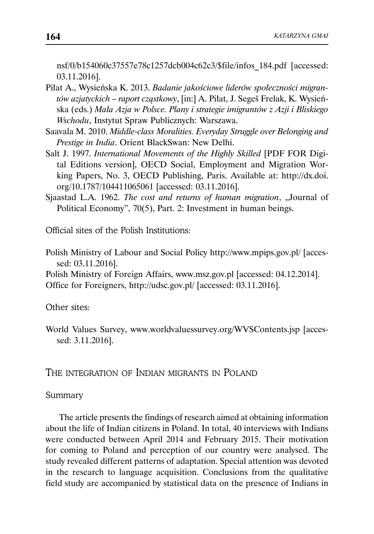nsf/0/b154060c37557e78c1257dcb004c62c3/\$file/infos\_184.pdf [accessed: 03.11.2016].

- Piłat A., Wysieńska K. 2013. *Badanie jakościowe liderów społeczności migrantów azjatyckich – raport cząstkowy*, [in:] A. Piłat, J. Segeš Frelak, K. Wysieńska (eds.) *Mała Azja w Polsce. Plany i strategie imigrantów z Azji i Bliskiego Wschodu*, Instytut Spraw Publicznych: Warszawa.
- Saavala M. 2010. *Middle-class Moralities. Everyday Struggle over Belonging and Prestige in India*. Orient BlackSwan: New Delhi.
- Salt J. 1997. *International Movements of the Highly Skilled* [PDF FOR Digital Editions version], OECD Social, Employment and Migration Working Papers, No. 3, OECD Publishing, Paris. Available at: http://dx.doi. org/10.1787/104411065061 [accessed: 03.11.2016].
- Sjaastad L.A. 1962. *The cost and returns of human migration*, "Journal of Political Economy", 70(5), Part. 2: Investment in human beings.

Official sites of the Polish Institutions:

Polish Ministry of Labour and Social Policy http://www.mpips.gov.pl/ [accessed: 03.11.2016].

Polish Ministry of Foreign Affairs, www.msz.gov.pl [accessed: 04.12.2014]. Office for Foreigners, http://udsc.gov.pl/ [accessed: 03.11.2016].

Other sites:

World Values Survey, www.worldvaluessurvey.org/WVSContents.jsp [accessed: 3.11.2016].

THE INTEGRATION OF INDIAN MIGRANTS IN POLAND

Summary

The article presents the findings of research aimed at obtaining information about the life of Indian citizens in Poland. In total, 40 interviews with Indians were conducted between April 2014 and February 2015. Their motivation for coming to Poland and perception of our country were analysed. The study revealed different patterns of adaptation. Special attention was devoted in the research to language acquisition. Conclusions from the qualitative field study are accompanied by statistical data on the presence of Indians in